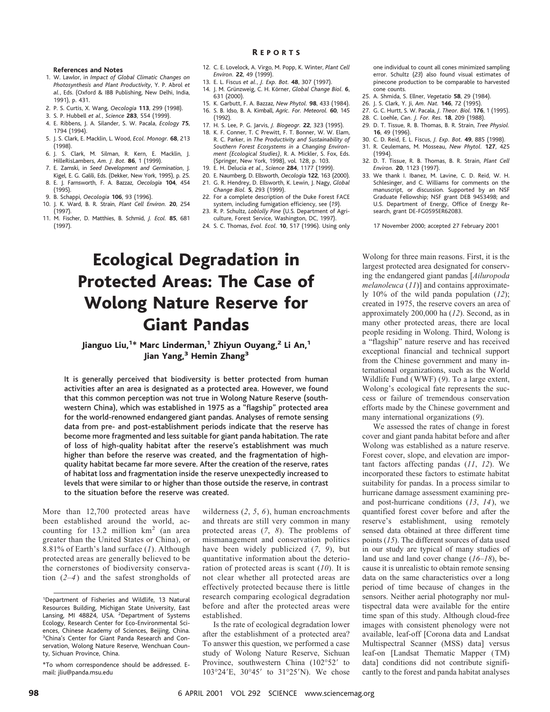### **References and Notes**

- 1. W. Lawlor, in *Impact of Global Climatic Changes on Photosynthesis and Plant Productivity*, Y. P. Abrol *et al.*, Eds. (Oxford & IBB Publishing, New Delhi, India, 1991), p. 431.
- 2. P. S. Curtis, X. Wang, *Oecologia* **113**, 299 (1998).
- 3. S. P. Hubbell *et al.*, *Science* **283**, 554 (1999).
- 4. E. Ribbens, J. A. Silander, S. W. Pacala, *Ecology* **75**, 1794 (1994).
- 5. J. S. Clark, E. Macklin, L. Wood, *Ecol. Monogr.* **68**, 213 (1998).
- 6. J. S. Clark, M. Silman, R. Kern, E. Macklin, J. HilleRisLambers, *Am. J. Bot.* **86**, 1 (1999).
- 7. E. Zamski, in *Seed Development and Germination*, J. Kigel, E. G. Galili, Eds. (Dekker, New York, 1995), p. 25.
- 8. E. J. Farnsworth, F. A. Bazzaz, *Oecologia* **104**, 454 (1995).
- 9. B. Schappi, *Oecologia* **106**, 93 (1996).
- 10. J. K. Ward, B. R. Strain, *Plant Cell Environ.* **20**, 254 (1997).
- 11. M. Fischer, D. Matthies, B. Schmid, *J. Ecol.* **85**, 681 (1997).
- 12. C. E. Lovelock, A. Virgo, M. Popp, K. Winter, *Plant Cell Environ.* **22**, 49 (1999).
- 13. E. L. Fiscus *et al.*, *J. Exp. Bot.* **48**, 307 (1997).
- 14. J. M. Grünzweig, C. H. Körner, *Global Change Biol*. **6**, 631 (2000).
- 15. K. Garbutt, F. A. Bazzaz, *New Phytol.* **98**, 433 (1984). 16. S. B. Idso, B. A. Kimball, *Agric. For. Meteorol.* **60**, 145
- (1992).
- 17. H. S. Lee, P. G. Jarvis, *J. Biogeogr.* **22**, 323 (1995).
- 18. K. F. Conner, T. C Prewitt, F. T. Bonner, W. W. Elam, R. C. Parker, in *The Productivity and Sustainability of Southern Forest Ecosystems in a Changing Environment (Ecological Studies)*, R. A. Mickler, S. Fox, Eds. (Springer, New York, 1998), vol. 128, p. 103.
- 19. E. H. Delucia *et al.*, *Science* **284**, 1177 (1999).
- 20. E. Naumberg, D. Ellsworth, *Oecologia* **122**, 163 (2000). 21. G. R. Hendrey, D. Ellsworth, K. Lewin, J. Nagy, *Global Change Biol.* **5**, 293 (1999).
- 22. For a complete description of the Duke Forest FACE system, including fumigation efficiency, see (*19*).
- 23. R. P. Schultz, *Loblolly Pine* (U.S. Department of Agriculture, Forest Service, Washington, DC, 1997).
- 24. S. C. Thomas, *Evol. Ecol.* **10**, 517 (1996). Using only

# Ecological Degradation in Protected Areas: The Case of Wolong Nature Reserve for Giant Pandas

# Jianguo Liu,<sup>1</sup>\* Marc Linderman,<sup>1</sup> Zhiyun Ouyang,<sup>2</sup> Li An,<sup>1</sup> Jian Yang,<sup>3</sup> Hemin Zhang<sup>3</sup>

It is generally perceived that biodiversity is better protected from human activities after an area is designated as a protected area. However, we found that this common perception was not true in Wolong Nature Reserve (southwestern China), which was established in 1975 as a "flagship" protected area for the world-renowned endangered giant pandas. Analyses of remote sensing data from pre- and post-establishment periods indicate that the reserve has become more fragmented and less suitable for giant panda habitation. The rate of loss of high-quality habitat after the reserve's establishment was much higher than before the reserve was created, and the fragmentation of highquality habitat became far more severe. After the creation of the reserve, rates of habitat loss and fragmentation inside the reserve unexpectedly increased to levels that were similar to or higher than those outside the reserve, in contrast to the situation before the reserve was created.

More than 12,700 protected areas have been established around the world, accounting for 13.2 million km<sup>2</sup> (an area greater than the United States or China), or 8.81% of Earth's land surface (*1*). Although protected areas are generally believed to be the cornerstones of biodiversity conservation (*2*–*4*) and the safest strongholds of wilderness (*2*, *5*, *6*), human encroachments and threats are still very common in many protected areas (*7*, *8*). The problems of mismanagement and conservation politics have been widely publicized (*7*, *9*), but quantitative information about the deterioration of protected areas is scant (*10*). It is not clear whether all protected areas are effectively protected because there is little research comparing ecological degradation before and after the protected areas were established.

Is the rate of ecological degradation lower after the establishment of a protected area? To answer this question, we performed a case study of Wolong Nature Reserve, Sichuan Province, southwestern China (102°52' to 103°24'E, 30°45' to 31°25'N). We chose one individual to count all cones minimized sampling error. Schultz (*23*) also found visual estimates of pinecone production to be comparable to harvested cone counts.

- 25. A. Shmida, S. Ellner, *Vegetatio* **58**, 29 (1984).
- 26. J. S. Clark, Y. Ji, *Am. Nat.* **146**, 72 (1995).
- 27. G. C. Hurtt, S. W. Pacala, *J. Theor. Biol.* **176**, 1 (1995).
- 28. C. Loehle, *Can. J. For. Res.* **18**, 209 (1988). 29. D. T. Tissue, R. B. Thomas, B. R. Strain, *Tree Physiol.* **16**, 49 (1996).
- 30. C. D. Reid, E. L. Fiscus, *J. Exp. Bot.* **49**, 885 (1998).
- 31. R. Ceulemans, M. Mosseau, *New Phytol.* **127**, 425
- (1994). 32. D. T. Tissue, R. B. Thomas, B. R. Strain, *Plant Cell*
- *Environ.* **20**, 1123 (1997).
	- 33. We thank I. Ibanez, M. Lavine, C. D. Reid, W. H. Schlesinger, and C. Williams for comments on the manuscript, or discussion. Supported by an NSF Graduate Fellowship; NSF grant DEB 9453498; and U.S. Department of Energy, Office of Energy Research, grant DE-FG0595ER62083.

17 November 2000; accepted 27 February 2001

Wolong for three main reasons. First, it is the largest protected area designated for conserving the endangered giant pandas [*Ailuropoda melanoleuca* (*11*)] and contains approximately 10% of the wild panda population (*12*); created in 1975, the reserve covers an area of approximately 200,000 ha (*12*). Second, as in many other protected areas, there are local people residing in Wolong. Third, Wolong is a "flagship" nature reserve and has received exceptional financial and technical support from the Chinese government and many international organizations, such as the World Wildlife Fund (WWF) (*9*). To a large extent, Wolong's ecological fate represents the success or failure of tremendous conservation efforts made by the Chinese government and many international organizations (*9*).

We assessed the rates of change in forest cover and giant panda habitat before and after Wolong was established as a nature reserve. Forest cover, slope, and elevation are important factors affecting pandas (*11*, *12*). We incorporated these factors to estimate habitat suitability for pandas. In a process similar to hurricane damage assessment examining preand post-hurricane conditions (*13*, *14*), we quantified forest cover before and after the reserve's establishment, using remotely sensed data obtained at three different time points (*15*). The different sources of data used in our study are typical of many studies of land use and land cover change (*16*–*18*), because it is unrealistic to obtain remote sensing data on the same characteristics over a long period of time because of changes in the sensors. Neither aerial photography nor multispectral data were available for the entire time span of this study. Although cloud-free images with consistent phenology were not available, leaf-off [Corona data and Landsat Multispectral Scanner (MSS) data] versus leaf-on [Landsat Thematic Mapper (TM) data] conditions did not contribute significantly to the forest and panda habitat analyses

<sup>&</sup>lt;sup>1</sup>Department of Fisheries and Wildlife, 13 Natural Resources Building, Michigan State University, East Lansing, MI 48824, USA. <sup>2</sup>Department of Systems Ecology, Research Center for Eco-Environmental Sciences, Chinese Academy of Sciences, Beijing, China. <sup>3</sup>China's Center for Giant Panda Research and Conservation, Wolong Nature Reserve, Wenchuan County, Sichuan Province, China.

<sup>\*</sup>To whom correspondence should be addressed. Email: jliu@panda.msu.edu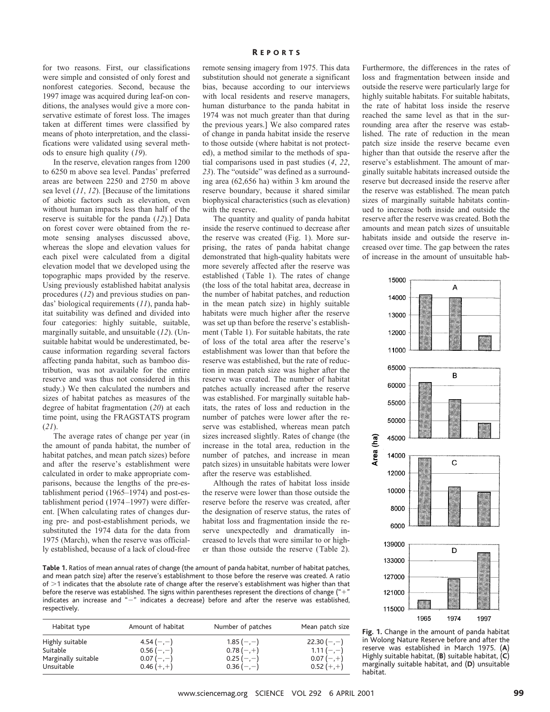for two reasons. First, our classifications were simple and consisted of only forest and nonforest categories. Second, because the 1997 image was acquired during leaf-on conditions, the analyses would give a more conservative estimate of forest loss. The images taken at different times were classified by means of photo interpretation, and the classifications were validated using several methods to ensure high quality (*19*).

In the reserve, elevation ranges from 1200 to 6250 m above sea level. Pandas' preferred areas are between 2250 and 2750 m above sea level (*11*, *12*). [Because of the limitations of abiotic factors such as elevation, even without human impacts less than half of the reserve is suitable for the panda (*12*).] Data on forest cover were obtained from the remote sensing analyses discussed above, whereas the slope and elevation values for each pixel were calculated from a digital elevation model that we developed using the topographic maps provided by the reserve. Using previously established habitat analysis procedures (*12*) and previous studies on pandas' biological requirements (*11*), panda habitat suitability was defined and divided into four categories: highly suitable, suitable, marginally suitable, and unsuitable (*12*). (Unsuitable habitat would be underestimated, because information regarding several factors affecting panda habitat, such as bamboo distribution, was not available for the entire reserve and was thus not considered in this study.) We then calculated the numbers and sizes of habitat patches as measures of the degree of habitat fragmentation (*20*) at each time point, using the FRAGSTATS program (*21*).

The average rates of change per year (in the amount of panda habitat, the number of habitat patches, and mean patch sizes) before and after the reserve's establishment were calculated in order to make appropriate comparisons, because the lengths of the pre-establishment period (1965–1974) and post-establishment period (1974–1997) were different. [When calculating rates of changes during pre- and post-establishment periods, we substituted the 1974 data for the data from 1975 (March), when the reserve was officially established, because of a lack of cloud-free

### R EPORTS

remote sensing imagery from 1975. This data substitution should not generate a significant bias, because according to our interviews with local residents and reserve managers, human disturbance to the panda habitat in 1974 was not much greater than that during the previous years.] We also compared rates of change in panda habitat inside the reserve to those outside (where habitat is not protected), a method similar to the methods of spatial comparisons used in past studies (*4*, *22*, *23*). The "outside" was defined as a surrounding area (62,656 ha) within 3 km around the reserve boundary, because it shared similar biophysical characteristics (such as elevation) with the reserve.

The quantity and quality of panda habitat inside the reserve continued to decrease after the reserve was created (Fig. 1). More surprising, the rates of panda habitat change demonstrated that high-quality habitats were more severely affected after the reserve was established (Table 1). The rates of change (the loss of the total habitat area, decrease in the number of habitat patches, and reduction in the mean patch size) in highly suitable habitats were much higher after the reserve was set up than before the reserve's establishment (Table 1). For suitable habitats, the rate of loss of the total area after the reserve's establishment was lower than that before the reserve was established, but the rate of reduction in mean patch size was higher after the reserve was created. The number of habitat patches actually increased after the reserve was established. For marginally suitable habitats, the rates of loss and reduction in the number of patches were lower after the reserve was established, whereas mean patch sizes increased slightly. Rates of change (the increase in the total area, reduction in the number of patches, and increase in mean patch sizes) in unsuitable habitats were lower after the reserve was established.

Although the rates of habitat loss inside the reserve were lower than those outside the reserve before the reserve was created, after the designation of reserve status, the rates of habitat loss and fragmentation inside the reserve unexpectedly and dramatically increased to levels that were similar to or higher than those outside the reserve (Table 2).

**Table 1.** Ratios of mean annual rates of change (the amount of panda habitat, number of habitat patches, and mean patch size) after the reserve's establishment to those before the reserve was created. A ratio of  $>1$  indicates that the absolute rate of change after the reserve's establishment was higher than that before the reserve was established. The signs within parentheses represent the directions of change ( $4 + 7$ indicates an increase and "-" indicates a decrease) before and after the reserve was established, respectively.

| Habitat type        | Amount of habitat | Number of patches | Mean patch size |
|---------------------|-------------------|-------------------|-----------------|
| Highly suitable     | $4.54(-,-)$       | $1.85(-,-)$       | $22.30(-,-)$    |
| Suitable            | $0.56(-,-)$       | $0.78(-,+)$       | $1.11(-,-)$     |
| Marginally suitable | $0.07(-,-)$       | $0.25(-,-)$       | $0.07(-,+)$     |
| Unsuitable          | $0.46 (+,+)$      | $0.36(-,-)$       | $0.52 (+,+)$    |

Furthermore, the differences in the rates of loss and fragmentation between inside and outside the reserve were particularly large for highly suitable habitats. For suitable habitats, the rate of habitat loss inside the reserve reached the same level as that in the surrounding area after the reserve was established. The rate of reduction in the mean patch size inside the reserve became even higher than that outside the reserve after the reserve's establishment. The amount of marginally suitable habitats increased outside the reserve but decreased inside the reserve after the reserve was established. The mean patch sizes of marginally suitable habitats continued to increase both inside and outside the reserve after the reserve was created. Both the amounts and mean patch sizes of unsuitable habitats inside and outside the reserve increased over time. The gap between the rates of increase in the amount of unsuitable hab-



**Fig. 1.** Change in the amount of panda habitat in Wolong Nature Reserve before and after the reserve was established in March 1975. (**A**) Highly suitable habitat, (**B**) suitable habitat, (**C**) marginally suitable habitat, and (**D**) unsuitable habitat.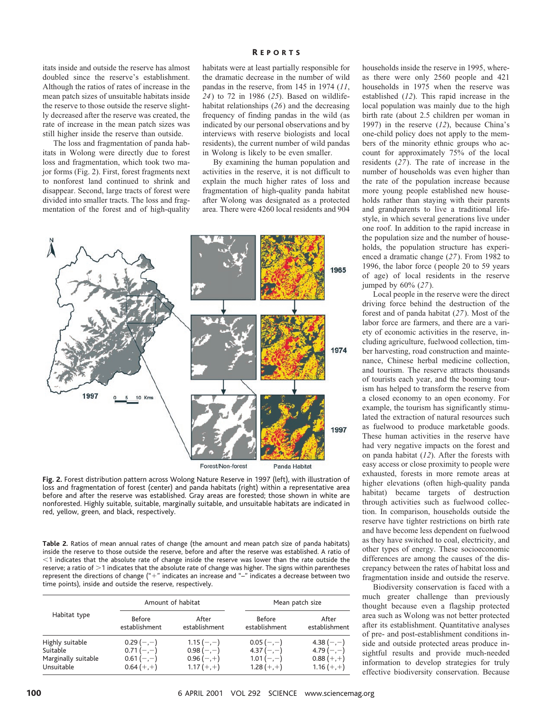itats inside and outside the reserve has almost doubled since the reserve's establishment. Although the ratios of rates of increase in the mean patch sizes of unsuitable habitats inside the reserve to those outside the reserve slightly decreased after the reserve was created, the rate of increase in the mean patch sizes was still higher inside the reserve than outside.

The loss and fragmentation of panda habitats in Wolong were directly due to forest loss and fragmentation, which took two major forms (Fig. 2). First, forest fragments next to nonforest land continued to shrink and disappear. Second, large tracts of forest were divided into smaller tracts. The loss and fragmentation of the forest and of high-quality

## R EPORTS

habitats were at least partially responsible for the dramatic decrease in the number of wild pandas in the reserve, from 145 in 1974 (*11*, *24*) to 72 in 1986 (*25*). Based on wildlifehabitat relationships (*26*) and the decreasing frequency of finding pandas in the wild (as indicated by our personal observations and by interviews with reserve biologists and local residents), the current number of wild pandas in Wolong is likely to be even smaller.

By examining the human population and activities in the reserve, it is not difficult to explain the much higher rates of loss and fragmentation of high-quality panda habitat after Wolong was designated as a protected area. There were 4260 local residents and 904



**Fig. 2.** Forest distribution pattern across Wolong Nature Reserve in 1997 (left), with illustration of loss and fragmentation of forest (center) and panda habitats (right) within a representative area before and after the reserve was established. Gray areas are forested; those shown in white are nonforested. Highly suitable, suitable, marginally suitable, and unsuitable habitats are indicated in red, yellow, green, and black, respectively.

**Table 2.** Ratios of mean annual rates of change (the amount and mean patch size of panda habitats) inside the reserve to those outside the reserve, before and after the reserve was established. A ratio of  $<$ 1 indicates that the absolute rate of change inside the reserve was lower than the rate outside the reserve; a ratio of  $>$ 1 indicates that the absolute rate of change was higher. The signs within parentheses represent the directions of change ("+" indicates an increase and "-" indicates a decrease between two time points), inside and outside the reserve, respectively.

| Habitat type                                                     | Amount of habitat                                         |                                                           | Mean patch size                                             |                                                              |
|------------------------------------------------------------------|-----------------------------------------------------------|-----------------------------------------------------------|-------------------------------------------------------------|--------------------------------------------------------------|
|                                                                  | <b>Before</b><br>establishment                            | After<br>establishment                                    | <b>Before</b><br>establishment                              | After<br>establishment                                       |
| Highly suitable<br>Suitable<br>Marginally suitable<br>Unsuitable | $0.29(-,-)$<br>$0.71(-,-)$<br>$0.61(-,-)$<br>$0.64 (+,+)$ | $1.15(-,-)$<br>$0.98(-,-)$<br>$0.96(-,+)$<br>$1.17 (+,+)$ | $0.05(-,-)$<br>4.37 $(-,-)$<br>$1.01 (-,-)$<br>$1.28 (+,+)$ | 4.38 $(-,-)$<br>4.79 $(-,-)$<br>$0.88 (+,+)$<br>$1.16 (+,+)$ |

households inside the reserve in 1995, whereas there were only 2560 people and 421 households in 1975 when the reserve was established (*12*). This rapid increase in the local population was mainly due to the high birth rate (about 2.5 children per woman in 1997) in the reserve (*12*), because China's one-child policy does not apply to the members of the minority ethnic groups who account for approximately 75% of the local residents (*27*). The rate of increase in the number of households was even higher than the rate of the population increase because more young people established new households rather than staying with their parents and grandparents to live a traditional lifestyle, in which several generations live under one roof. In addition to the rapid increase in the population size and the number of households, the population structure has experienced a dramatic change (*27*). From 1982 to 1996, the labor force (people 20 to 59 years of age) of local residents in the reserve jumped by 60% (*27*).

Local people in the reserve were the direct driving force behind the destruction of the forest and of panda habitat (*27*). Most of the labor force are farmers, and there are a variety of economic activities in the reserve, including agriculture, fuelwood collection, timber harvesting, road construction and maintenance, Chinese herbal medicine collection, and tourism. The reserve attracts thousands of tourists each year, and the booming tourism has helped to transform the reserve from a closed economy to an open economy. For example, the tourism has significantly stimulated the extraction of natural resources such as fuelwood to produce marketable goods. These human activities in the reserve have had very negative impacts on the forest and on panda habitat (*12*). After the forests with easy access or close proximity to people were exhausted, forests in more remote areas at higher elevations (often high-quality panda habitat) became targets of destruction through activities such as fuelwood collection. In comparison, households outside the reserve have tighter restrictions on birth rate and have become less dependent on fuelwood as they have switched to coal, electricity, and other types of energy. These socioeconomic differences are among the causes of the discrepancy between the rates of habitat loss and fragmentation inside and outside the reserve.

Biodiversity conservation is faced with a much greater challenge than previously thought because even a flagship protected area such as Wolong was not better protected after its establishment. Quantitative analyses of pre- and post-establishment conditions inside and outside protected areas produce insightful results and provide much-needed information to develop strategies for truly effective biodiversity conservation. Because